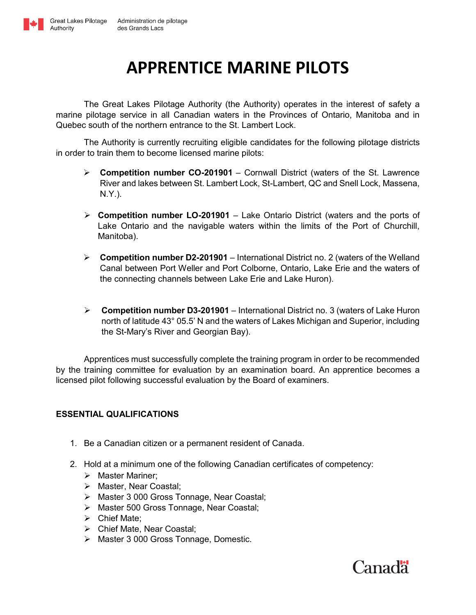

Authority

## **APPRENTICE MARINE PILOTS**

The Great Lakes Pilotage Authority (the Authority) operates in the interest of safety a marine pilotage service in all Canadian waters in the Provinces of Ontario, Manitoba and in Quebec south of the northern entrance to the St. Lambert Lock.

The Authority is currently recruiting eligible candidates for the following pilotage districts in order to train them to become licensed marine pilots:

- ➢ **Competition number CO-201901** Cornwall District (waters of the St. Lawrence River and lakes between St. Lambert Lock, St-Lambert, QC and Snell Lock, Massena, N.Y.).
- ➢ **Competition number LO-201901** Lake Ontario District (waters and the ports of Lake Ontario and the navigable waters within the limits of the Port of Churchill, Manitoba).
- ➢ **Competition number D2-201901** International District no. 2 (waters of the Welland Canal between Port Weller and Port Colborne, Ontario, Lake Erie and the waters of the connecting channels between Lake Erie and Lake Huron).
- ➢ **Competition number D3-201901** International District no. 3 (waters of Lake Huron north of latitude 43° 05.5' N and the waters of Lakes Michigan and Superior, including the St-Mary's River and Georgian Bay).

Apprentices must successfully complete the training program in order to be recommended by the training committee for evaluation by an examination board. An apprentice becomes a licensed pilot following successful evaluation by the Board of examiners.

## **ESSENTIAL QUALIFICATIONS**

- 1. Be a Canadian citizen or a permanent resident of Canada.
- 2. Hold at a minimum one of the following Canadian certificates of competency:
	- ➢ Master Mariner;
	- ➢ Master, Near Coastal;
	- ➢ Master 3 000 Gross Tonnage, Near Coastal;
	- ➢ Master 500 Gross Tonnage, Near Coastal;
	- ➢ Chief Mate;
	- ➢ Chief Mate, Near Coastal;
	- ➢ Master 3 000 Gross Tonnage, Domestic.